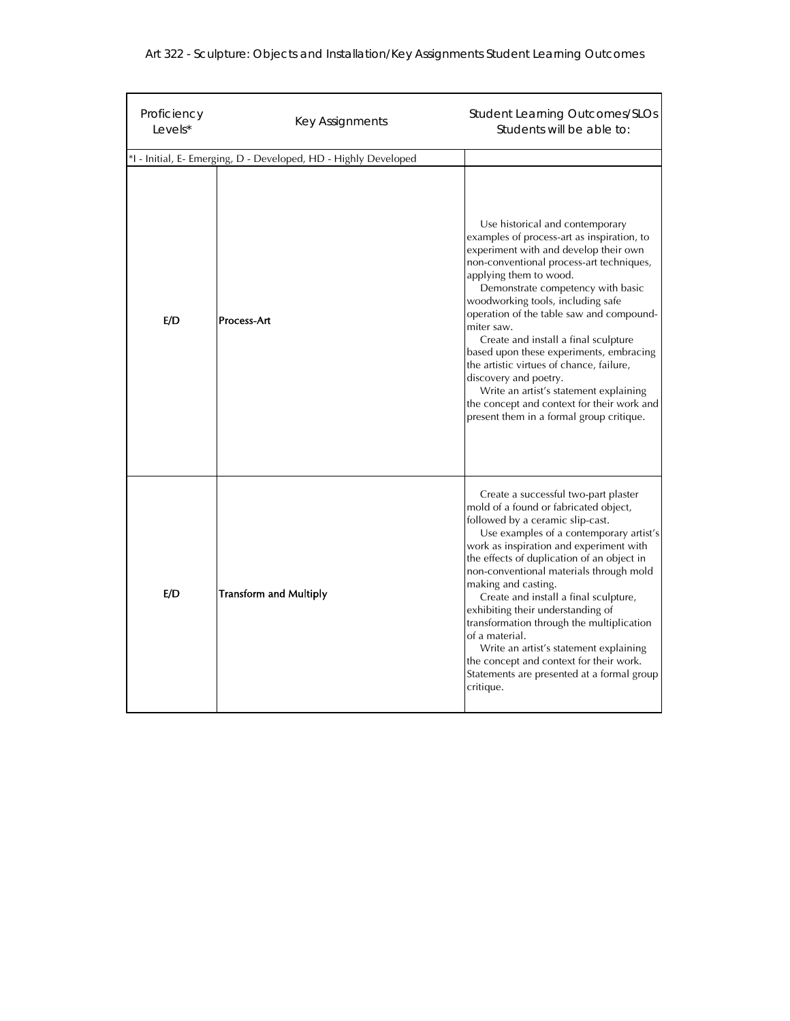| Art 322 - Sculpture: Objects and Installation/Key Assignments Student Learning Outcomes |  |  |  |
|-----------------------------------------------------------------------------------------|--|--|--|
|                                                                                         |  |  |  |

| Proficiency<br>Levels*                                          | Key Assignments               | <b>Student Learning Outcomes/SLOs</b><br>Students will be able to:                                                                                                                                                                                                                                                                                                                                                                                                                                                                                                                                                           |  |  |  |  |
|-----------------------------------------------------------------|-------------------------------|------------------------------------------------------------------------------------------------------------------------------------------------------------------------------------------------------------------------------------------------------------------------------------------------------------------------------------------------------------------------------------------------------------------------------------------------------------------------------------------------------------------------------------------------------------------------------------------------------------------------------|--|--|--|--|
| *I - Initial, E- Emerging, D - Developed, HD - Highly Developed |                               |                                                                                                                                                                                                                                                                                                                                                                                                                                                                                                                                                                                                                              |  |  |  |  |
| E/D                                                             | Process-Art                   | Use historical and contemporary<br>examples of process-art as inspiration, to<br>experiment with and develop their own<br>non-conventional process-art techniques,<br>applying them to wood.<br>Demonstrate competency with basic<br>woodworking tools, including safe<br>operation of the table saw and compound-<br>miter saw.<br>Create and install a final sculpture<br>based upon these experiments, embracing<br>the artistic virtues of chance, failure,<br>discovery and poetry.<br>Write an artist's statement explaining<br>the concept and context for their work and<br>present them in a formal group critique. |  |  |  |  |
| E/D                                                             | <b>Transform and Multiply</b> | Create a successful two-part plaster<br>mold of a found or fabricated object,<br>followed by a ceramic slip-cast.<br>Use examples of a contemporary artist's<br>work as inspiration and experiment with<br>the effects of duplication of an object in<br>non-conventional materials through mold<br>making and casting.<br>Create and install a final sculpture,<br>exhibiting their understanding of<br>transformation through the multiplication<br>of a material.<br>Write an artist's statement explaining<br>the concept and context for their work.<br>Statements are presented at a formal group<br>critique.         |  |  |  |  |